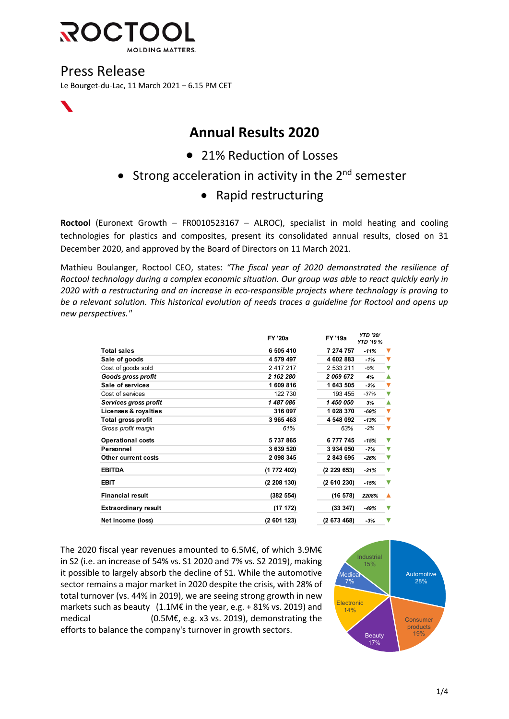

## Press Release

Le Bourget-du-Lac, 11 March 2021 – 6.15 PM CET

# **Annual Results 2020**

- 21% Reduction of Losses
- Strong acceleration in activity in the  $2<sup>nd</sup>$  semester

### • Rapid restructuring

**Roctool** (Euronext Growth – FR0010523167 – ALROC), specialist in mold heating and cooling technologies for plastics and composites, present its consolidated annual results, closed on 31 December 2020, and approved by the Board of Directors on 11 March 2021.

Mathieu Boulanger, Roctool CEO, states: *"The fiscal year of 2020 demonstrated the resilience of Roctool technology during a complex economic situation. Our group was able to react quickly early in 2020 with a restructuring and an increase in eco-responsible projects where technology is proving to be a relevant solution. This historical evolution of needs traces a guideline for Roctool and opens up new perspectives."*

|                             | <b>FY '20a</b> | <b>FY '19a</b> | <b>YTD '20/</b><br><b>YTD '19 %</b> |   |
|-----------------------------|----------------|----------------|-------------------------------------|---|
| <b>Total sales</b>          | 6 505 410      | 7 274 757      | $-11%$                              |   |
| Sale of goods               | 4 579 497      | 4 602 883      | $-1%$                               |   |
| Cost of goods sold          | 2 417 217      | 2 533 211      | $-5%$                               |   |
| Goods gross profit          | 2 162 280      | 2069672        | 4%                                  |   |
| Sale of services            | 1609816        | 1 643 505      | $-2%$                               |   |
| Cost of services            | 122 730        | 193 455        | $-37%$                              |   |
| Services gross profit       | 1 487 086      | 1 450 050      | 3%                                  |   |
| Licenses & royalties        | 316 097        | 1 028 370      | $-69%$                              |   |
| Total gross profit          | 3 965 463      | 4 548 092      | $-13%$                              |   |
| Gross profit margin         | 61%            | 63%            | $-2%$                               |   |
| <b>Operational costs</b>    | 5737865        | 6777745        | $-15%$                              | ▽ |
| Personnel                   | 3 639 520      | 3 934 050      | $-7%$                               |   |
| Other current costs         | 2 098 345      | 2 843 695      | $-26%$                              |   |
| <b>EBITDA</b>               | (1 772 402)    | (2229653)      | $-21%$                              |   |
| EBIT                        | (2 208 130)    | (2610230)      | $-15%$                              |   |
| <b>Financial result</b>     | (382 554)      | (16 578)       | 2208%                               |   |
| <b>Extraordinary result</b> | (17 172)       | (33 347)       | $-49%$                              |   |
| Net income (loss)           | (2601123)      | (2673468)      | $-3%$                               |   |

The 2020 fiscal year revenues amounted to 6.5M€, of which 3.9M€ in S2 (i.e. an increase of 54% vs. S1 2020 and 7% vs. S2 2019), making it possible to largely absorb the decline of S1. While the automotive sector remains a major market in 2020 despite the crisis, with 28% of total turnover (vs. 44% in 2019), we are seeing strong growth in new markets such as beauty (1.1M€ in the year, e.g. + 81% vs. 2019) and medical (0.5M€, e.g. x3 vs. 2019), demonstrating the efforts to balance the company's turnover in growth sectors.

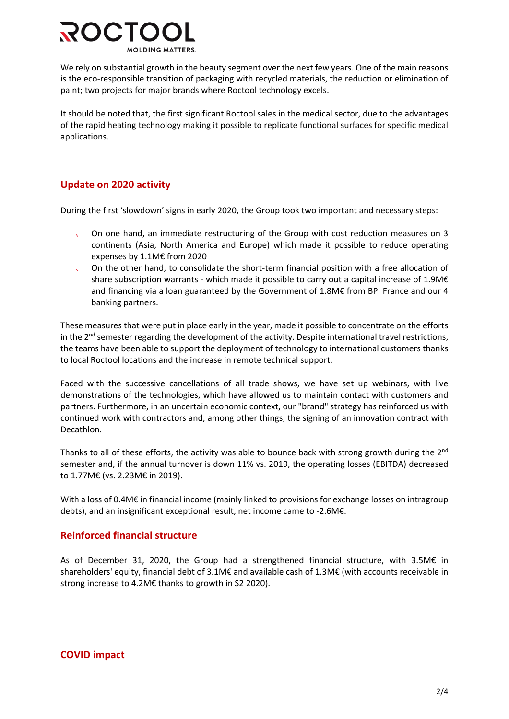

We rely on substantial growth in the beauty segment over the next few years. One of the main reasons is the eco-responsible transition of packaging with recycled materials, the reduction or elimination of paint; two projects for major brands where Roctool technology excels.

It should be noted that, the first significant Roctool sales in the medical sector, due to the advantages of the rapid heating technology making it possible to replicate functional surfaces for specific medical applications.

### **Update on 2020 activity**

During the first 'slowdown' signs in early 2020, the Group took two important and necessary steps:

- On one hand, an immediate restructuring of the Group with cost reduction measures on 3 continents (Asia, North America and Europe) which made it possible to reduce operating expenses by 1.1M€ from 2020
- On the other hand, to consolidate the short-term financial position with a free allocation of share subscription warrants - which made it possible to carry out a capital increase of 1.9M€ and financing via a loan guaranteed by the Government of 1.8M€ from BPI France and our 4 banking partners.

These measures that were put in place early in the year, made it possible to concentrate on the efforts in the  $2^{nd}$  semester regarding the development of the activity. Despite international travel restrictions, the teams have been able to support the deployment of technology to international customers thanks to local Roctool locations and the increase in remote technical support.

Faced with the successive cancellations of all trade shows, we have set up webinars, with live demonstrations of the technologies, which have allowed us to maintain contact with customers and partners. Furthermore, in an uncertain economic context, our "brand" strategy has reinforced us with continued work with contractors and, among other things, the signing of an innovation contract with Decathlon.

Thanks to all of these efforts, the activity was able to bounce back with strong growth during the  $2^{nd}$ semester and, if the annual turnover is down 11% vs. 2019, the operating losses (EBITDA) decreased to 1.77M€ (vs. 2.23M€ in 2019).

With a loss of 0.4M€ in financial income (mainly linked to provisions for exchange losses on intragroup debts), and an insignificant exceptional result, net income came to -2.6M€.

#### **Reinforced financial structure**

As of December 31, 2020, the Group had a strengthened financial structure, with 3.5M€ in shareholders' equity, financial debt of 3.1M€ and available cash of 1.3M€ (with accounts receivable in strong increase to 4.2M€ thanks to growth in S2 2020).

#### **COVID impact**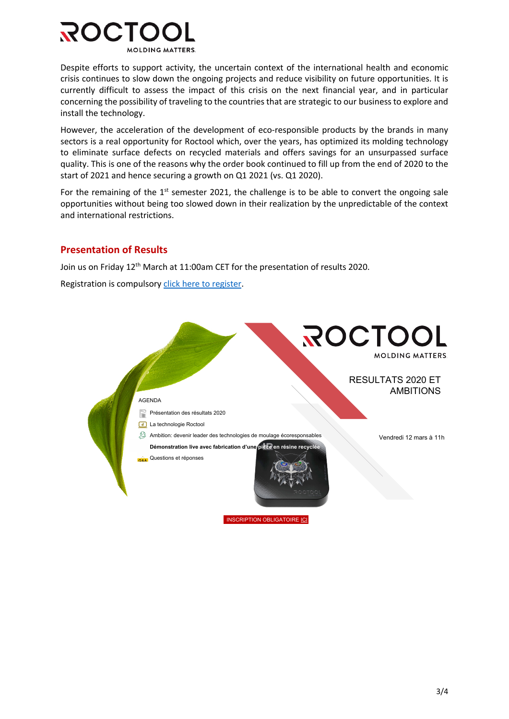

Despite efforts to support activity, the uncertain context of the international health and economic crisis continues to slow down the ongoing projects and reduce visibility on future opportunities. It is currently difficult to assess the impact of this crisis on the next financial year, and in particular concerning the possibility of traveling to the countries that are strategic to our business to explore and install the technology.

However, the acceleration of the development of eco-responsible products by the brands in many sectors is a real opportunity for Roctool which, over the years, has optimized its molding technology to eliminate surface defects on recycled materials and offers savings for an unsurpassed surface quality. This is one of the reasons why the order book continued to fill up from the end of 2020 to the start of 2021 and hence securing a growth on Q1 2021 (vs. Q1 2020).

For the remaining of the  $1<sup>st</sup>$  semester 2021, the challenge is to be able to convert the ongoing sale opportunities without being too slowed down in their realization by the unpredictable of the context and international restrictions.

#### **Presentation of Results**

Join us on Friday 12<sup>th</sup> March at 11:00am CET for the presentation of results 2020.

Registration is compulsory click here to register.